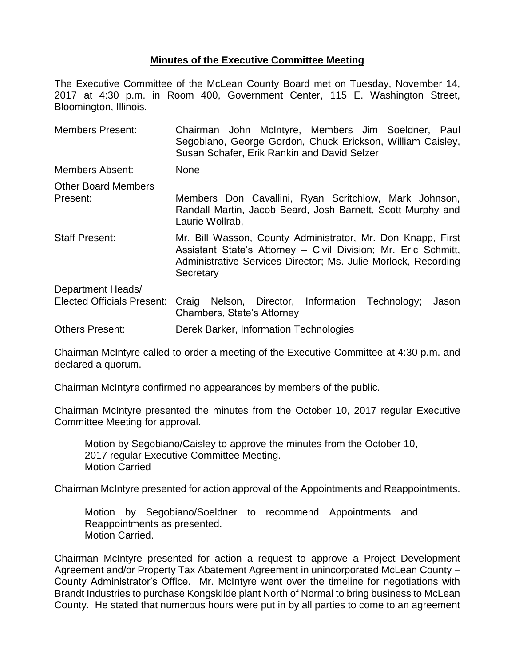## **Minutes of the Executive Committee Meeting**

The Executive Committee of the McLean County Board met on Tuesday, November 14, 2017 at 4:30 p.m. in Room 400, Government Center, 115 E. Washington Street, Bloomington, Illinois.

| <b>Members Present:</b>                                | Chairman John McIntyre, Members Jim Soeldner, Paul<br>Segobiano, George Gordon, Chuck Erickson, William Caisley,<br>Susan Schafer, Erik Rankin and David Selzer                                              |  |  |  |
|--------------------------------------------------------|--------------------------------------------------------------------------------------------------------------------------------------------------------------------------------------------------------------|--|--|--|
| <b>Members Absent:</b>                                 | <b>None</b>                                                                                                                                                                                                  |  |  |  |
| <b>Other Board Members</b><br>Present:                 | Members Don Cavallini, Ryan Scritchlow, Mark Johnson,<br>Randall Martin, Jacob Beard, Josh Barnett, Scott Murphy and<br>Laurie Wollrab,                                                                      |  |  |  |
| <b>Staff Present:</b>                                  | Mr. Bill Wasson, County Administrator, Mr. Don Knapp, First<br>Assistant State's Attorney – Civil Division; Mr. Eric Schmitt,<br>Administrative Services Director; Ms. Julie Morlock, Recording<br>Secretary |  |  |  |
| Department Heads/<br><b>Elected Officials Present:</b> | Craig Nelson, Director, Information Technology;<br>Jason<br>Chambers, State's Attorney                                                                                                                       |  |  |  |
| <b>Others Present:</b>                                 | Derek Barker, Information Technologies                                                                                                                                                                       |  |  |  |

Chairman McIntyre called to order a meeting of the Executive Committee at 4:30 p.m. and declared a quorum.

Chairman McIntyre confirmed no appearances by members of the public.

Chairman McIntyre presented the minutes from the October 10, 2017 regular Executive Committee Meeting for approval.

Motion by Segobiano/Caisley to approve the minutes from the October 10, 2017 regular Executive Committee Meeting. Motion Carried

Chairman McIntyre presented for action approval of the Appointments and Reappointments.

Motion by Segobiano/Soeldner to recommend Appointments and Reappointments as presented. Motion Carried.

Chairman McIntyre presented for action a request to approve a Project Development Agreement and/or Property Tax Abatement Agreement in unincorporated McLean County – County Administrator's Office. Mr. McIntyre went over the timeline for negotiations with Brandt Industries to purchase Kongskilde plant North of Normal to bring business to McLean County. He stated that numerous hours were put in by all parties to come to an agreement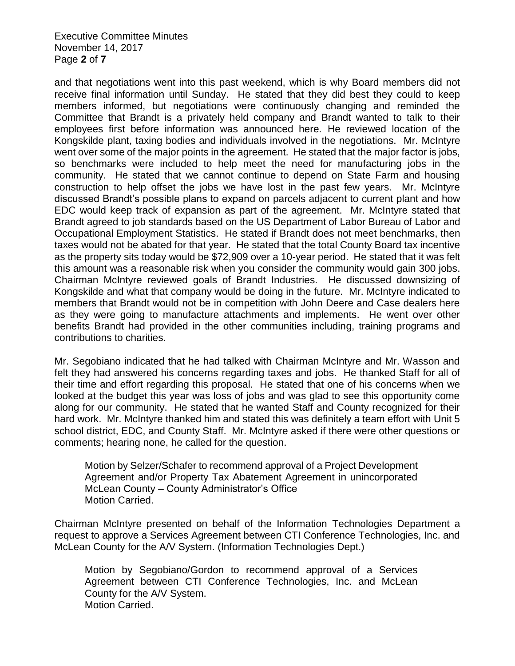Executive Committee Minutes November 14, 2017 Page **2** of **7**

and that negotiations went into this past weekend, which is why Board members did not receive final information until Sunday. He stated that they did best they could to keep members informed, but negotiations were continuously changing and reminded the Committee that Brandt is a privately held company and Brandt wanted to talk to their employees first before information was announced here. He reviewed location of the Kongskilde plant, taxing bodies and individuals involved in the negotiations. Mr. McIntyre went over some of the major points in the agreement. He stated that the major factor is jobs, so benchmarks were included to help meet the need for manufacturing jobs in the community. He stated that we cannot continue to depend on State Farm and housing construction to help offset the jobs we have lost in the past few years. Mr. McIntyre discussed Brandt's possible plans to expand on parcels adjacent to current plant and how EDC would keep track of expansion as part of the agreement. Mr. McIntyre stated that Brandt agreed to job standards based on the US Department of Labor Bureau of Labor and Occupational Employment Statistics. He stated if Brandt does not meet benchmarks, then taxes would not be abated for that year. He stated that the total County Board tax incentive as the property sits today would be \$72,909 over a 10-year period. He stated that it was felt this amount was a reasonable risk when you consider the community would gain 300 jobs. Chairman McIntyre reviewed goals of Brandt Industries. He discussed downsizing of Kongskilde and what that company would be doing in the future. Mr. McIntyre indicated to members that Brandt would not be in competition with John Deere and Case dealers here as they were going to manufacture attachments and implements. He went over other benefits Brandt had provided in the other communities including, training programs and contributions to charities.

Mr. Segobiano indicated that he had talked with Chairman McIntyre and Mr. Wasson and felt they had answered his concerns regarding taxes and jobs. He thanked Staff for all of their time and effort regarding this proposal. He stated that one of his concerns when we looked at the budget this year was loss of jobs and was glad to see this opportunity come along for our community. He stated that he wanted Staff and County recognized for their hard work. Mr. McIntyre thanked him and stated this was definitely a team effort with Unit 5 school district, EDC, and County Staff. Mr. McIntyre asked if there were other questions or comments; hearing none, he called for the question.

Motion by Selzer/Schafer to recommend approval of a Project Development Agreement and/or Property Tax Abatement Agreement in unincorporated McLean County – County Administrator's Office Motion Carried.

Chairman McIntyre presented on behalf of the Information Technologies Department a request to approve a Services Agreement between CTI Conference Technologies, Inc. and McLean County for the A/V System. (Information Technologies Dept.)

Motion by Segobiano/Gordon to recommend approval of a Services Agreement between CTI Conference Technologies, Inc. and McLean County for the A/V System. Motion Carried.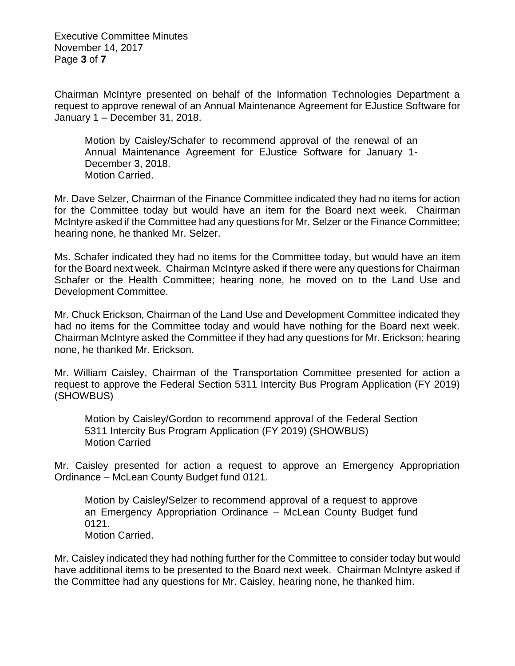Executive Committee Minutes November 14, 2017 Page **3** of **7**

Chairman McIntyre presented on behalf of the Information Technologies Department a request to approve renewal of an Annual Maintenance Agreement for EJustice Software for January 1 – December 31, 2018.

Motion by Caisley/Schafer to recommend approval of the renewal of an Annual Maintenance Agreement for EJustice Software for January 1- December 3, 2018. Motion Carried.

Mr. Dave Selzer, Chairman of the Finance Committee indicated they had no items for action for the Committee today but would have an item for the Board next week. Chairman McIntyre asked if the Committee had any questions for Mr. Selzer or the Finance Committee; hearing none, he thanked Mr. Selzer.

Ms. Schafer indicated they had no items for the Committee today, but would have an item for the Board next week. Chairman McIntyre asked if there were any questions for Chairman Schafer or the Health Committee; hearing none, he moved on to the Land Use and Development Committee.

Mr. Chuck Erickson, Chairman of the Land Use and Development Committee indicated they had no items for the Committee today and would have nothing for the Board next week. Chairman McIntyre asked the Committee if they had any questions for Mr. Erickson; hearing none, he thanked Mr. Erickson.

Mr. William Caisley, Chairman of the Transportation Committee presented for action a request to approve the Federal Section 5311 Intercity Bus Program Application (FY 2019) (SHOWBUS)

Motion by Caisley/Gordon to recommend approval of the Federal Section 5311 Intercity Bus Program Application (FY 2019) (SHOWBUS) Motion Carried

Mr. Caisley presented for action a request to approve an Emergency Appropriation Ordinance – McLean County Budget fund 0121.

Motion by Caisley/Selzer to recommend approval of a request to approve an Emergency Appropriation Ordinance – McLean County Budget fund 0121. Motion Carried.

Mr. Caisley indicated they had nothing further for the Committee to consider today but would have additional items to be presented to the Board next week. Chairman McIntyre asked if the Committee had any questions for Mr. Caisley, hearing none, he thanked him.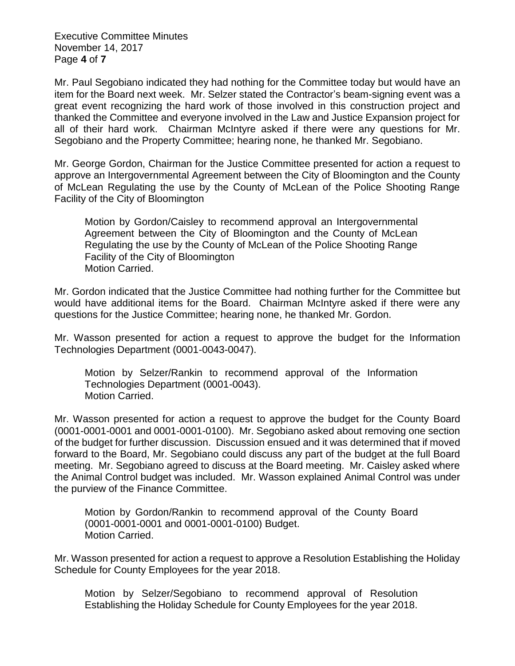Executive Committee Minutes November 14, 2017 Page **4** of **7**

Mr. Paul Segobiano indicated they had nothing for the Committee today but would have an item for the Board next week. Mr. Selzer stated the Contractor's beam-signing event was a great event recognizing the hard work of those involved in this construction project and thanked the Committee and everyone involved in the Law and Justice Expansion project for all of their hard work. Chairman McIntyre asked if there were any questions for Mr. Segobiano and the Property Committee; hearing none, he thanked Mr. Segobiano.

Mr. George Gordon, Chairman for the Justice Committee presented for action a request to approve an Intergovernmental Agreement between the City of Bloomington and the County of McLean Regulating the use by the County of McLean of the Police Shooting Range Facility of the City of Bloomington

Motion by Gordon/Caisley to recommend approval an Intergovernmental Agreement between the City of Bloomington and the County of McLean Regulating the use by the County of McLean of the Police Shooting Range Facility of the City of Bloomington Motion Carried.

Mr. Gordon indicated that the Justice Committee had nothing further for the Committee but would have additional items for the Board. Chairman McIntyre asked if there were any questions for the Justice Committee; hearing none, he thanked Mr. Gordon.

Mr. Wasson presented for action a request to approve the budget for the Information Technologies Department (0001-0043-0047).

Motion by Selzer/Rankin to recommend approval of the Information Technologies Department (0001-0043). Motion Carried.

Mr. Wasson presented for action a request to approve the budget for the County Board (0001-0001-0001 and 0001-0001-0100). Mr. Segobiano asked about removing one section of the budget for further discussion. Discussion ensued and it was determined that if moved forward to the Board, Mr. Segobiano could discuss any part of the budget at the full Board meeting. Mr. Segobiano agreed to discuss at the Board meeting. Mr. Caisley asked where the Animal Control budget was included. Mr. Wasson explained Animal Control was under the purview of the Finance Committee.

Motion by Gordon/Rankin to recommend approval of the County Board (0001-0001-0001 and 0001-0001-0100) Budget. Motion Carried.

Mr. Wasson presented for action a request to approve a Resolution Establishing the Holiday Schedule for County Employees for the year 2018.

Motion by Selzer/Segobiano to recommend approval of Resolution Establishing the Holiday Schedule for County Employees for the year 2018.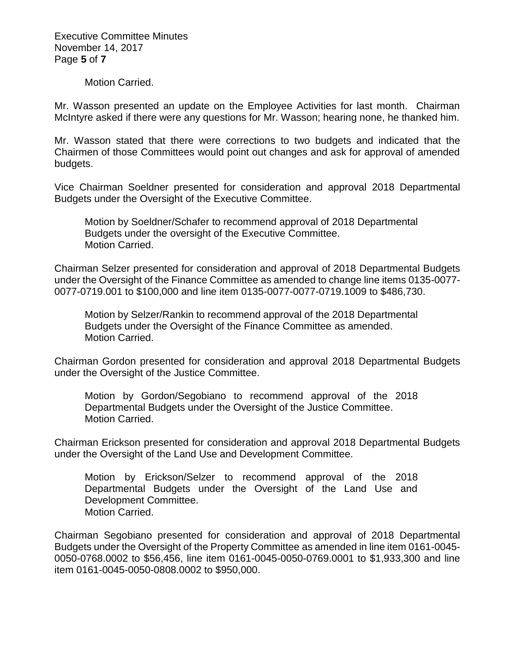Executive Committee Minutes November 14, 2017 Page **5** of **7**

Motion Carried.

Mr. Wasson presented an update on the Employee Activities for last month. Chairman McIntyre asked if there were any questions for Mr. Wasson; hearing none, he thanked him.

Mr. Wasson stated that there were corrections to two budgets and indicated that the Chairmen of those Committees would point out changes and ask for approval of amended budgets.

Vice Chairman Soeldner presented for consideration and approval 2018 Departmental Budgets under the Oversight of the Executive Committee.

Motion by Soeldner/Schafer to recommend approval of 2018 Departmental Budgets under the oversight of the Executive Committee. Motion Carried.

Chairman Selzer presented for consideration and approval of 2018 Departmental Budgets under the Oversight of the Finance Committee as amended to change line items 0135-0077- 0077-0719.001 to \$100,000 and line item 0135-0077-0077-0719.1009 to \$486,730.

Motion by Selzer/Rankin to recommend approval of the 2018 Departmental Budgets under the Oversight of the Finance Committee as amended. Motion Carried.

Chairman Gordon presented for consideration and approval 2018 Departmental Budgets under the Oversight of the Justice Committee.

Motion by Gordon/Segobiano to recommend approval of the 2018 Departmental Budgets under the Oversight of the Justice Committee. Motion Carried.

Chairman Erickson presented for consideration and approval 2018 Departmental Budgets under the Oversight of the Land Use and Development Committee.

Motion by Erickson/Selzer to recommend approval of the 2018 Departmental Budgets under the Oversight of the Land Use and Development Committee. Motion Carried.

Chairman Segobiano presented for consideration and approval of 2018 Departmental Budgets under the Oversight of the Property Committee as amended in line item 0161-0045- 0050-0768.0002 to \$56,456, line item 0161-0045-0050-0769.0001 to \$1,933,300 and line item 0161-0045-0050-0808.0002 to \$950,000.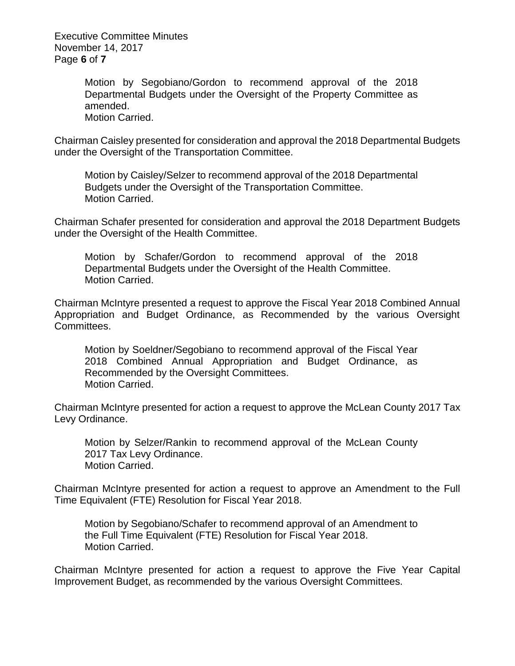Executive Committee Minutes November 14, 2017 Page **6** of **7**

> Motion by Segobiano/Gordon to recommend approval of the 2018 Departmental Budgets under the Oversight of the Property Committee as amended.

Motion Carried.

Chairman Caisley presented for consideration and approval the 2018 Departmental Budgets under the Oversight of the Transportation Committee.

Motion by Caisley/Selzer to recommend approval of the 2018 Departmental Budgets under the Oversight of the Transportation Committee. Motion Carried.

Chairman Schafer presented for consideration and approval the 2018 Department Budgets under the Oversight of the Health Committee.

Motion by Schafer/Gordon to recommend approval of the 2018 Departmental Budgets under the Oversight of the Health Committee. Motion Carried.

Chairman McIntyre presented a request to approve the Fiscal Year 2018 Combined Annual Appropriation and Budget Ordinance, as Recommended by the various Oversight Committees.

Motion by Soeldner/Segobiano to recommend approval of the Fiscal Year 2018 Combined Annual Appropriation and Budget Ordinance, as Recommended by the Oversight Committees. Motion Carried.

Chairman McIntyre presented for action a request to approve the McLean County 2017 Tax Levy Ordinance.

Motion by Selzer/Rankin to recommend approval of the McLean County 2017 Tax Levy Ordinance. Motion Carried.

Chairman McIntyre presented for action a request to approve an Amendment to the Full Time Equivalent (FTE) Resolution for Fiscal Year 2018.

Motion by Segobiano/Schafer to recommend approval of an Amendment to the Full Time Equivalent (FTE) Resolution for Fiscal Year 2018. Motion Carried.

Chairman McIntyre presented for action a request to approve the Five Year Capital Improvement Budget, as recommended by the various Oversight Committees.